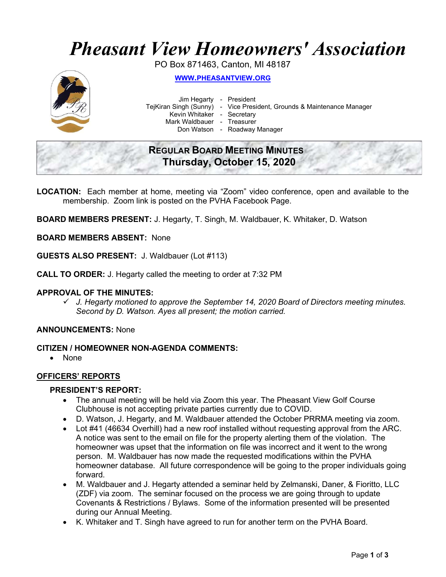# Pheasant View Homeowners' Association

PO Box 871463, Canton, MI 48187



WWW.PHEASANTVIEW.ORG

Jim Hegarty - President

TejKiran Singh (Sunny) - Vice President, Grounds & Maintenance Manager

Kevin Whitaker - Secretary

Mark Waldbauer - Treasurer

Don Watson - Roadway Manager

# REGULAR BOARD MEETING MINUTES Thursday, October 15, 2020

LOCATION: Each member at home, meeting via "Zoom" video conference, open and available to the membership. Zoom link is posted on the PVHA Facebook Page.

BOARD MEMBERS PRESENT: J. Hegarty, T. Singh, M. Waldbauer, K. Whitaker, D. Watson

## BOARD MEMBERS ABSENT: None

GUESTS ALSO PRESENT: J. Waldbauer (Lot #113)

CALL TO ORDER: J. Hegarty called the meeting to order at 7:32 PM

## APPROVAL OF THE MINUTES:

 $\checkmark$  J. Hegarty motioned to approve the September 14, 2020 Board of Directors meeting minutes. Second by D. Watson. Ayes all present; the motion carried.

# ANNOUNCEMENTS: None

#### CITIZEN / HOMEOWNER NON-AGENDA COMMENTS:

• None

## OFFICERS' REPORTS

#### PRESIDENT'S REPORT:

- The annual meeting will be held via Zoom this year. The Pheasant View Golf Course Clubhouse is not accepting private parties currently due to COVID.
- D. Watson, J. Hegarty, and M. Waldbauer attended the October PRRMA meeting via zoom.
- Lot #41 (46634 Overhill) had a new roof installed without requesting approval from the ARC. A notice was sent to the email on file for the property alerting them of the violation. The homeowner was upset that the information on file was incorrect and it went to the wrong person. M. Waldbauer has now made the requested modifications within the PVHA homeowner database. All future correspondence will be going to the proper individuals going forward.
- M. Waldbauer and J. Hegarty attended a seminar held by Zelmanski, Daner, & Fioritto, LLC (ZDF) via zoom. The seminar focused on the process we are going through to update Covenants & Restrictions / Bylaws. Some of the information presented will be presented during our Annual Meeting.
- K. Whitaker and T. Singh have agreed to run for another term on the PVHA Board.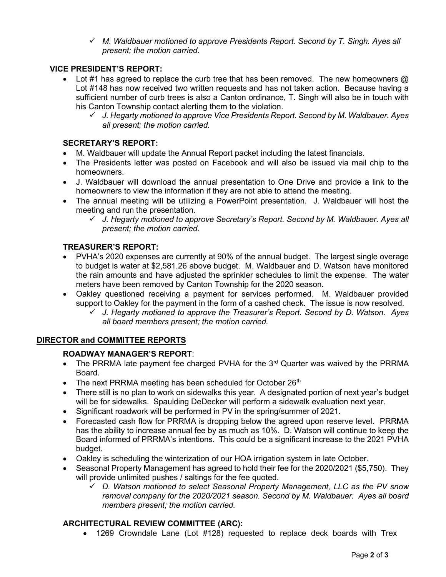$\checkmark$  M. Waldbauer motioned to approve Presidents Report. Second by T. Singh. Ayes all present; the motion carried.

# VICE PRESIDENT'S REPORT:

- Lot #1 has agreed to replace the curb tree that has been removed. The new homeowners  $\omega$ Lot #148 has now received two written requests and has not taken action. Because having a sufficient number of curb trees is also a Canton ordinance, T. Singh will also be in touch with his Canton Township contact alerting them to the violation.
	- $\checkmark$  J. Hegarty motioned to approve Vice Presidents Report. Second by M. Waldbauer. Ayes all present; the motion carried.

## SECRETARY'S REPORT:

- M. Waldbauer will update the Annual Report packet including the latest financials.
- The Presidents letter was posted on Facebook and will also be issued via mail chip to the homeowners.
- J. Waldbauer will download the annual presentation to One Drive and provide a link to the homeowners to view the information if they are not able to attend the meeting.
- The annual meeting will be utilizing a PowerPoint presentation. J. Waldbauer will host the meeting and run the presentation.
	- $\checkmark$  J. Hegarty motioned to approve Secretary's Report. Second by M. Waldbauer. Ayes all present; the motion carried.

## TREASURER'S REPORT:

- PVHA's 2020 expenses are currently at 90% of the annual budget. The largest single overage to budget is water at \$2,581.26 above budget. M. Waldbauer and D. Watson have monitored the rain amounts and have adjusted the sprinkler schedules to limit the expense. The water meters have been removed by Canton Township for the 2020 season.
- Oakley questioned receiving a payment for services performed. M. Waldbauer provided support to Oakley for the payment in the form of a cashed check. The issue is now resolved.
	- $\checkmark$  J. Hegarty motioned to approve the Treasurer's Report. Second by D. Watson. Ayes all board members present; the motion carried.

## DIRECTOR and COMMITTEE REPORTS

## ROADWAY MANAGER'S REPORT:

- The PRRMA late payment fee charged PVHA for the 3<sup>rd</sup> Quarter was waived by the PRRMA Board.
- $\bullet$  The next PRRMA meeting has been scheduled for October 26<sup>th</sup>
- There still is no plan to work on sidewalks this year. A designated portion of next year's budget will be for sidewalks. Spaulding DeDecker will perform a sidewalk evaluation next year.
- Significant roadwork will be performed in PV in the spring/summer of 2021.
- Forecasted cash flow for PRRMA is dropping below the agreed upon reserve level. PRRMA has the ability to increase annual fee by as much as 10%. D. Watson will continue to keep the Board informed of PRRMA's intentions. This could be a significant increase to the 2021 PVHA budget.
- Oakley is scheduling the winterization of our HOA irrigation system in late October.
- Seasonal Property Management has agreed to hold their fee for the 2020/2021 (\$5,750). They will provide unlimited pushes / saltings for the fee quoted.
	- $\checkmark$  D. Watson motioned to select Seasonal Property Management, LLC as the PV snow removal company for the 2020/2021 season. Second by M. Waldbauer. Ayes all board members present; the motion carried.

# ARCHITECTURAL REVIEW COMMITTEE (ARC):

1269 Crowndale Lane (Lot #128) requested to replace deck boards with Trex